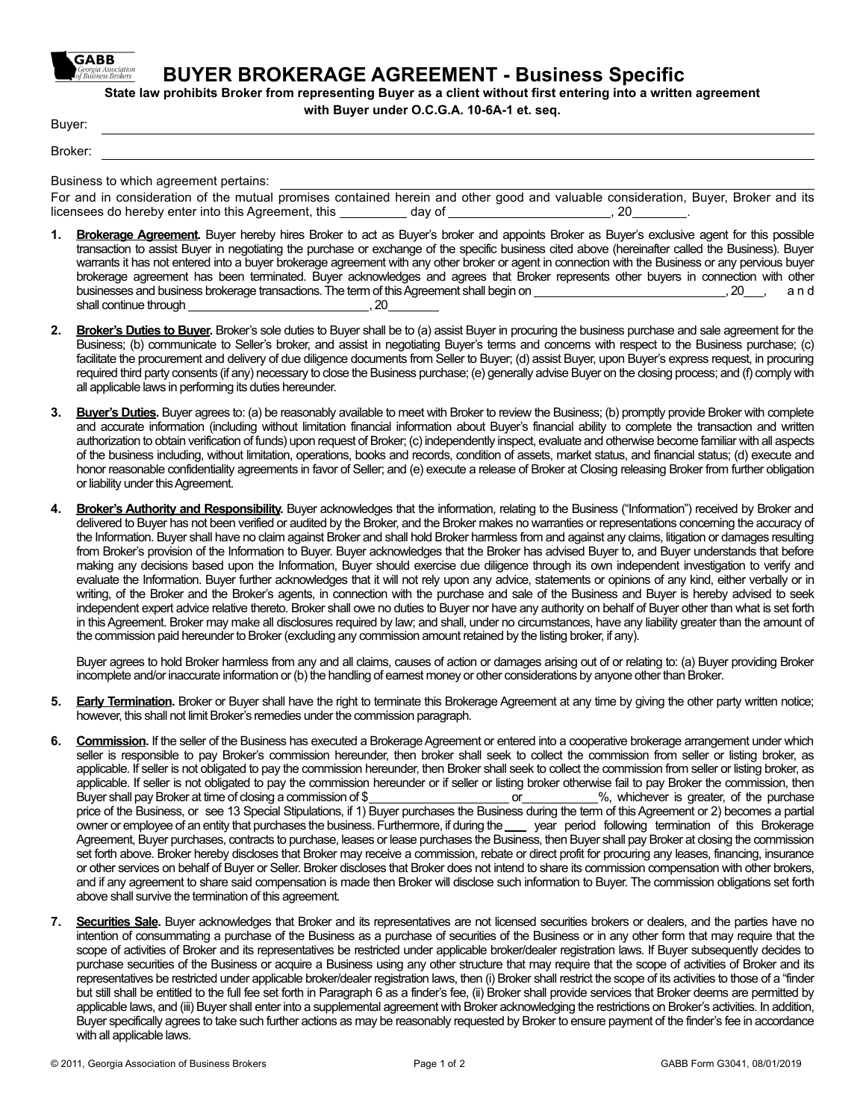

**BODYER BROKERAGE AGREEMENT - Busines Specific** 

**State law prohibits Broker from representing Buyer as a client without first entering into a written agreement** 

**with Buyer under O.C.G.A. 10-6A-1 et. seq.** 

Buyer:

Broker:

Business to which agreement pertains: 

For and in consideration of the mutual promises contained herein and other good and valuable consideration, Buyer, Broker and its licensees do hereby enter into this Agreement, this  day of  , 20 .

- **Brokerage Agreement**. Buyer hereby hires Broker to act as Buyer's broker and appoints Broker as Buyer's exclusive agent for this possible transaction to assist Buyer in negotiating the purchase or exchange of the specific business cited above (hereinafter called the Business). Buyer warrants it has not entered into a buyer brokerage agreement with any other broker or agent in connection with the Business or any pervious buyer brokerage agreement has been terminated. Buyer acknowledges and agrees that Broker represents other buyers in connection with other businesses and business brokerage transactions. The term of this Agreement shall begin on *n**i*  $\frac{1}{2}$  ,  $\frac{1}{20}$ , and shall continue through  , 20
- **2. Broker's Duties to Buyer.** Broker's sole duties to Buyer shall be to (a) assist Buyer in procuring the business purchase and sale agreement for the Business; (b) communicate to Seller's broker, and assist in negotiating Buyer's terms and concerns with respect to the Business purchase; (c) facilitate the procurement and delivery of due diligence documents from Seller to Buyer; (d) assist Buyer, upon Buyer's express request, in procuring required third party consents (if any) necessary to close the Business purchase; (e) generally advise Buyer on the closing process; and (f) comply with all applicable laws in performing its duties hereunder.
- **3. Buyer's Duties.** Buyer agrees to: (a) be reasonably available to meet with Broker to review the Business; (b) promptly provide Broker with complete and accurate information (including without limitation financial information about Buyer's financial ability to complete the transaction and written authorization to obtain verification of funds) upon request of Broker; (c) independently inspect, evaluate and otherwise become familiar with all aspects of the business including, without limitation, operations, books and records, condition of assets, market status, and financial status; (d) execute and honor reasonable confidentiality agreements in favor of Seller; and (e) execute a release of Broker at Closing releasing Broker from further obligation or liability under this Agreement.
- **4. Broker's Authority and Responsibility.** Buyer acknowledges that the information, relating to the Business ("Information") received by Broker and delivered to Buyer has not been verified or audited by the Broker, and the Broker makes no warranties or representations concerning the accuracy of the Information. Buyer shall have no claim against Broker and shall hold Broker harmless from and against any claims, litigation or damages resulting from Broker's provision of the Information to Buyer. Buyer acknowledges that the Broker has advised Buyer to, and Buyer understands that before making any decisions based upon the Information, Buyer should exercise due diligence through its own independent investigation to verify and evaluate the Information. Buyer further acknowledges that it will not rely upon any advice, statements or opinions of any kind, either verbally or in writing, of the Broker and the Broker's agents, in connection with the purchase and sale of the Business and Buyer is hereby advised to seek independent expert advice relative thereto. Broker shall owe no duties to Buyer nor have any authority on behalf of Buyer other than what is set forth in this Agreement. Broker may make all disclosures required by law; and shall, under no circumstances, have any liability greater than the amount of the commission paid hereunder to Broker (excluding any commission amount retained by the listing broker, if any).

Buyer agrees to hold Broker harmless from any and all claims, causes of action or damages arising out of or relating to: (a) Buyer providing Broker incomplete and/or inaccurate information or (b) the handling of earnest money or other considerations by anyone other than Broker.

- **5. Early Termination.** Broker or Buyer shall have the right to terminate this Brokerage Agreement at any time by giving the other party written notice; however, this shall not limit Broker's remedies under the commission paragraph.
- **6. Commission.** If the seller of the Business has executed a Brokerage Agreement or entered into a cooperative brokerage arrangement under which seller is responsible to pay Broker's commission hereunder, then broker shall seek to collect the commission from seller or listing broker, as applicable. If seller is not obligated to pay the commission hereunder, then Broker shall seek to collect the commission from seller or listing broker, as applicable. If seller is not obligated to pay the commission hereunder or if seller or listing broker otherwise fail to pay Broker the commission, then Buyer shall pay Broker at time of closing a commission of \$ price of the Business, or see 13 Special Stipulations, if 1) Buyer purchases the Business during the term of this Agreement or 2) becomes a partial owner or employee of an entity that purchases the business. Furthermore, if during the *eggical* period following termination of this Brokerage Agreement, Buyer purchases, contracts to purchase, leases or lease purchases the Business, then Buyer shall pay Broker at closing the commission set forth above. Broker hereby discloses that Broker may receive a commission, rebate or direct profit for procuring any leases, financing, insurance or other services on behalf of Buyer or Seller. Broker discloses that Broker does not intend to share its commission compensation with other brokers, and if any agreement to share said compensation is made then Broker will disclose such information to Buyer. The commission obligations set forth above shall survive the termination of this agreement.
- **7. Securities Sale.** Buyer acknowledges that Broker and its representatives are not licensed securities brokers or dealers, and the parties have no intention of consummating a purchase of the Business as a purchase of securities of the Business or in any other form that may require that the scope of activities of Broker and its representatives be restricted under applicable broker/dealer registration laws. If Buyer subsequently decides to purchase securities of the Business or acquire a Business using any other structure that may require that the scope of activities of Broker and its representatives be restricted under applicable broker/dealer registration laws, then (i) Broker shall restrict the scope of its activities to those of a "finder but still shall be entitled to the full fee set forth in Paragraph 6 as a finder's fee, (ii) Broker shall provide services that Broker deems are permitted by applicable laws, and (iii) Buyer shall enter into a supplemental agreement with Broker acknowledging the restrictions on Broker's activities. In addition, Buyer specifically agrees to take such further actions as may be reasonably requested by Broker to ensure payment of the finder's fee in accordance with all applicable laws.